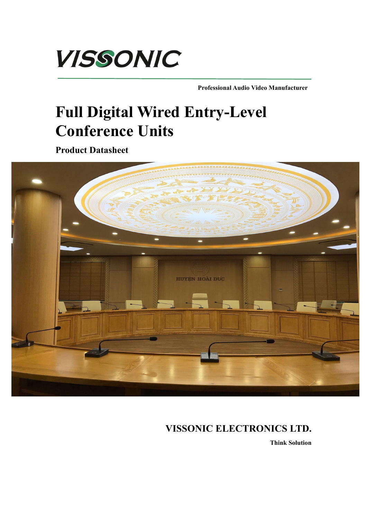

**Professional Audio Video Manufacturer**

## **Full Digital Wired Entry-Level Conference Units**

**Product Datasheet**



## **VISSONIC ELECTRONICS LTD.**

**Think Solution**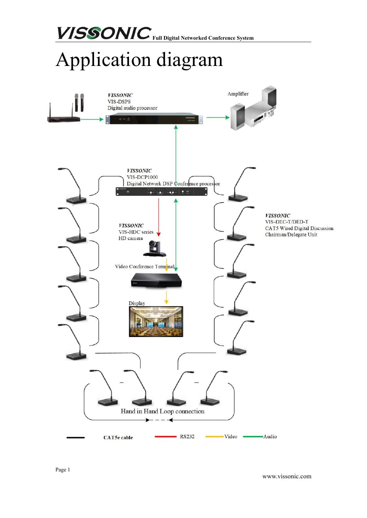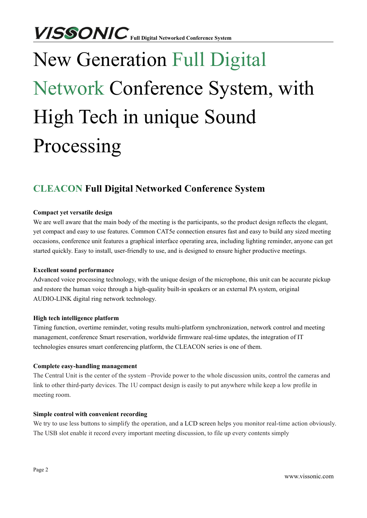# New Generation Full Digital Network Conference System, with High Tech in unique Sound Processing

## **CLEACON Full Digital Networked Conference System**

#### **Compact yet versatile design**

We are well aware that the main body of the meeting is the participants, so the product design reflects the elegant, yet compact and easy to use features. Common CAT5e connection ensures fast and easy to build any sized meeting occasions, conference unit features a graphical interface operating area, including lighting reminder, anyone can get started quickly. Easy to install, user-friendly to use, and is designed to ensure higher productive meetings.

#### **Excellent sound performance**

Advanced voice processing technology, with the unique design of the microphone, this unit can be accurate pickup and restore the human voice through a high-quality built-in speakers or an external PA system, original AUDIO-LINK digital ring network technology.

#### **High tech intelligence platform**

Timing function, overtime reminder, voting results multi-platform synchronization, network control and meeting management, conference Smart reservation, worldwide firmware real-time updates, the integration of IT technologies ensures smart conferencing platform, the CLEACON series is one of them.

#### **Complete easy-handling management**

The Central Unit is the center of the system –Provide power to the whole discussion units, control the cameras and link to other third-party devices. The 1U compact design is easily to put anywhere while keep a low profile in meeting room.

#### **Simple control with convenient recording**

We try to use less buttons to simplify the operation, and a LCD screen helps you monitor real-time action obviously. The USB slot enable it record every important meeting discussion, to file up every contents simply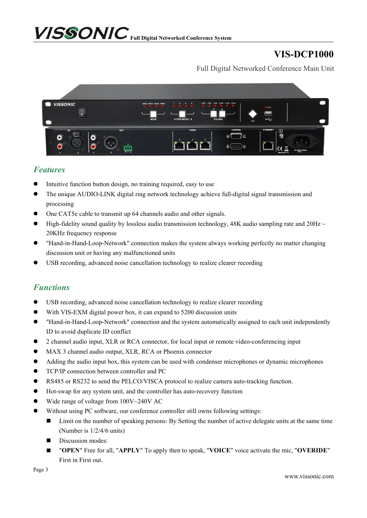## **VIS-DCP1000**

Full Digital Networked Conference Main Unit



### *Features*

- Intuitive function button design, no training required, easy to use
- The unique AUDIO-LINK digital ring network technology achieve full-digital signal transmission and processing
- One CAT5e cable to transmit up 64 channels audio and other signals.
- $\bullet$  High-fidelity sound quality by lossless audio transmission technology, 48K audio sampling rate and 20Hz  $\sim$ 20KHz frequency response
- "Hand-in-Hand-Loop-Network" connection makes the system always working perfectly no matter changing discussion unit or having any malfunctioned units
- USB recording, advanced noise cancellation technology to realize clearer recording

## *Functions*

- USB recording, advanced noise cancellation technology to realize clearer recording
- With VIS-EXM digital power box, it can expand to 5200 discussion units
- "Hand-in-Hand-Loop-Network" connection and the system automatically assigned to each unit independently ID to avoid duplicate ID conflict
- 2 channel audio input, XLR or RCA connector,for local input or remote video-conferencing input
- MAX 3 channel audio output, XLR, RCA or Phoenix connector
- Adding the audio input box, this system can be used with condenser microphones or dynamic microphones
- **TCP/IP connection between controller and PC**
- RS485 or RS232 to send the PELCO/VISCA protocol to realize camera auto-tracking function.
- Hot-swap for any system unit, and the controller has auto-recovery function
- Wide range of voltage from 100V~240V AC
- Without using PC software, our conference controller still owns following settings:
	- Limit on the number of speaking persons: By Setting the number of active delegate units at the same time (Number is 1/2/4/6 units)
	- Discussion modes:
	- "**OPEN**" Free for all, "**APPLY**" To apply then to speak, "**VOICE**" voice activate the mic, "**OVERIDE**" First in First out.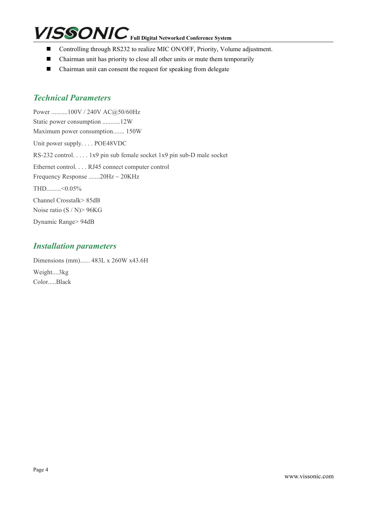- Controlling through RS232 to realize MIC ON/OFF, Priority, Volume adjustment.
- Chairman unit has priority to close all other units or mute them temporarily
- $\blacksquare$  Chairman unit can consent the request for speaking from delegate

### *Technical Parameters*

Power ..........100V / 240V AC@50/60Hz Static power consumption ...........12W Maximum power consumption....... 150W Unit power supply. . . . POE48VDC RS-232 control. . . . . 1x9 pin sub female socket 1x9 pin sub-D male socket Ethernet control. . . . RJ45 connect computer control Frequency Response .......20Hz ~ 20KHz THD.........<0.05% Channel Crosstalk> 85dB Noise ratio (S / N)> 96KG Dynamic Range> 94dB

### *Installation parameters*

Dimensions (mm)...... 483L x 260W x43.6H Weight....3kg Color.....Black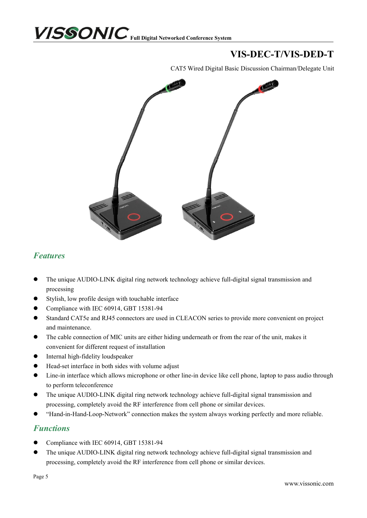## **VIS-DEC-T/VIS-DED-T**

CAT5 Wired Digital Basic Discussion Chairman/Delegate Unit



## *Features*

- The unique AUDIO-LINK digital ring network technology achieve full-digital signal transmission and processing
- Stylish, low profile design with touchable interface
- Compliance with IEC 60914, GBT 15381-94
- Standard CAT5e and RJ45 connectors are used in CLEACON series to provide more convenient on project and maintenance.
- The cable connection of MIC units are either hiding underneath or from the rear of the unit, makes it convenient for different request of installation
- **•** Internal high-fidelity loudspeaker
- Head-set interface in both sides with volume adjust
- Line-in interface which allows microphone or other line-in device like cell phone, laptop to pass audio through to perform teleconference
- The unique AUDIO-LINK digital ring network technology achieve full-digital signal transmission and processing, completely avoid the RF interference from cell phone or similar devices.
- "Hand-in-Hand-Loop-Network" connection makes the system always working perfectly and more reliable.

#### *Functions*

- Compliance with IEC 60914, GBT 15381-94
- The uniqueAUDIO-LINK digital ring network technology achieve full-digital signal transmission and processing, completely avoid the RF interference from cell phone or similar devices.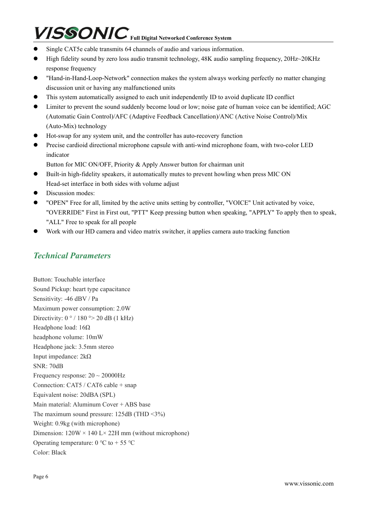- Single CAT5e cable transmits 64 channels of audio and various information.
- High fidelity sound by zero loss audio transmit technology, 48K audio sampling frequency, 20Hz  $\sim$  20KHz response frequency
- "Hand-in-Hand-Loop-Network" connection makes the system always working perfectly no matter changing discussion unit or having any malfunctioned units
- This system automatically assigned to each unit independently ID to avoid duplicate ID conflict
- Limiter to prevent the sound suddenly become loud or low; noise gate of human voice can be identified; AGC (Automatic Gain Control)/AFC (Adaptive Feedback Cancellation)/ANC (Active Noise Control)/Mix (Auto-Mix) technology
- Hot-swap for any system unit, and the controller has auto-recovery function
- Precise cardioid directional microphone capsule with anti-wind microphone foam, with two-color LED indicator

Button for MIC ON/OFF, Priority & Apply Answer button for chairman unit

- Built-in high-fidelity speakers, it automatically mutes to prevent howling when press MIC ON Head-set interface in both sides with volume adjust
- Discussion modes:
- "OPEN" Free for all, limited by the active units setting by controller, "VOICE" Unit activated by voice, "OVERRIDE" First in First out, "PTT" Keep pressing button when speaking, "APPLY" To apply then to speak, "ALL" Free to speak for all people
- Work with our HD camera and video matrix switcher, it applies camera auto tracking function

## *Technical Parameters*

Button: Touchable interface Sound Pickup: heart type capacitance Sensitivity: -46 dBV / Pa Maximum power consumption: 2.0W Directivity:  $0^{\circ}$  / 180  $\circ$  > 20 dB (1 kHz) Headphone load: 16Ω headphone volume: 10mW Headphone jack: 3.5mm stereo Input impedance: 2kΩ SNR: 70dB Frequency response:  $20 \sim 20000$ Hz Connection: CAT5 / CAT6 cable + snap Equivalent noise: 20dBA (SPL) Main material: Aluminum Cover + ABS base The maximum sound pressure: 125dB (THD <3%) Weight: 0.9kg (with microphone) Dimension:  $120W \times 140$  L $\times$  22H mm (without microphone) Operating temperature:  $0^{\circ}$ C to + 55 °C Color: Black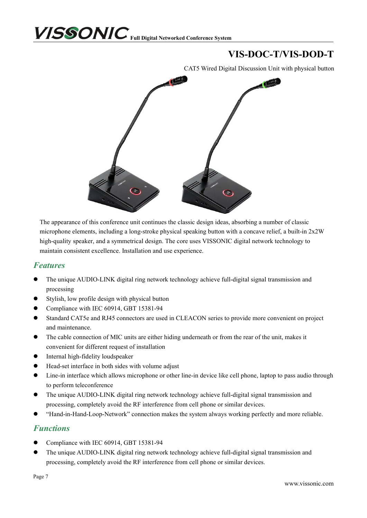## **VIS-DOC-T/VIS-DOD-T**

CAT5 Wired Digital Discussion Unit with physical button



The appearance of this conference unit continues the classic design ideas, absorbing a number of classic microphone elements, including a long-stroke physical speaking button with a concave relief, a built-in 2x2W high-quality speaker, and a symmetrical design. The core uses VISSONIC digital network technology to maintain consistent excellence. Installation and use experience.

#### *Features*

- The unique AUDIO-LINK digital ring network technology achieve full-digital signal transmission and processing
- Stylish, low profile design with physical button
- Compliance with IEC 60914, GBT 15381-94
- Standard CAT5e and RJ45 connectors are used in CLEACON series to provide more convenient on project and maintenance.
- The cable connection of MIC units are either hiding underneath or from the rear of the unit, makes it convenient for different request of installation
- **•** Internal high-fidelity loudspeaker
- Head-set interface in both sides with volume adjust
- Line-in interface which allows microphone or other line-in device like cell phone, laptop to pass audio through to perform teleconference
- The unique AUDIO-LINK digital ring network technology achieve full-digital signal transmission and processing, completely avoid the RF interference from cell phone or similar devices.
- "Hand-in-Hand-Loop-Network" connection makes the system always working perfectly and more reliable.

## *Functions*

- Compliance with IEC 60914, GBT 15381-94
- The unique AUDIO-LINK digital ring network technology achieve full-digital signal transmission and processing, completely avoid the RF interference from cell phone or similar devices.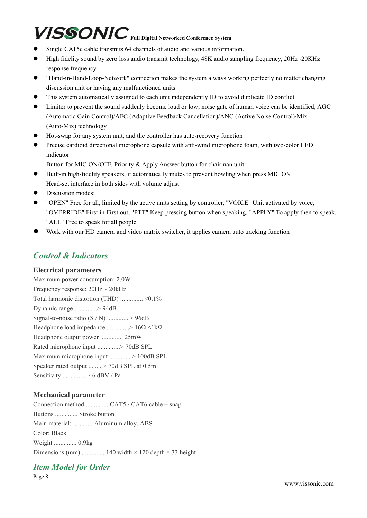- Single CAT5e cable transmits 64 channels of audio and various information.
- High fidelity sound by zero loss audio transmit technology, 48K audio sampling frequency, 20Hz  $\sim$  20KHz response frequency
- "Hand-in-Hand-Loop-Network" connection makes the system always working perfectly no matter changing discussion unit or having any malfunctioned units
- This system automatically assigned to each unit independently ID to avoid duplicate ID conflict
- Limiter to prevent the sound suddenly become loud or low; noise gate of human voice can be identified; AGC (Automatic Gain Control)/AFC (Adaptive Feedback Cancellation)/ANC (Active Noise Control)/Mix (Auto-Mix) technology
- Hot-swap for any system unit, and the controller has auto-recovery function
- Precise cardioid directional microphone capsule with anti-wind microphone foam, with two-color LED indicator

Button for MIC ON/OFF, Priority & Apply Answer button for chairman unit

- Built-in high-fidelity speakers, it automatically mutes to prevent howling when press MIC ON Head-set interface in both sides with volume adjust
- Discussion modes:
- "OPEN" Free for all, limited by the active units setting by controller, "VOICE" Unit activated by voice, "OVERRIDE" First in First out, "PTT" Keep pressing button when speaking, "APPLY" To apply then to speak, "ALL" Free to speak for all people
- Work with our HD camera and video matrix switcher, it applies camera auto tracking function

## *Control & Indicators*

#### **Electrical parameters**

Maximum power consumption: 2.0W Frequency response:  $20\text{Hz} \sim 20\text{kHz}$ Total harmonic distortion (THD) .............. <0.1% Dynamic range ..............> 94dB Signal-to-noise ratio (S / N) ..............> 96dB Headphone load impedance ................>  $16\Omega < 1k\Omega$ Headphone output power .............. 25mW Rated microphone input ..............> 70dB SPL Maximum microphone input ..............> 100dB SPL Speaker rated output .........> 70dB SPL at 0.5m Sensitivity ..............- 46 dBV / Pa

#### **Mechanical parameter**

Connection method .............. CAT5 / CAT6 cable + snap Buttons .............. Stroke button Main material: ............ Aluminum alloy, ABS Color: Black Weight .............. 0.9kg Dimensions (mm) ............... 140 width  $\times$  120 depth  $\times$  33 height

## *Item Model for Order*

Page 8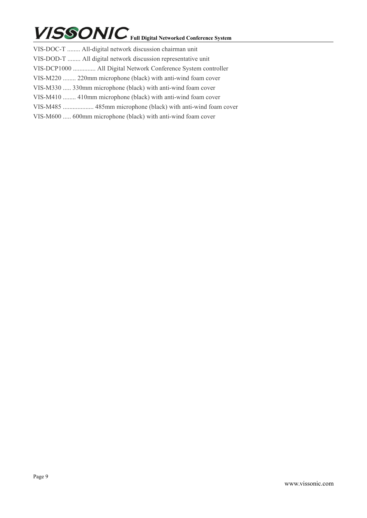| VIS-DOC-T  All-digital network discussion chairman unit       |
|---------------------------------------------------------------|
| VIS-DOD-T  All digital network discussion representative unit |
| VIS-DCP1000  All Digital Network Conference System controller |
| VIS-M220  220mm microphone (black) with anti-wind foam cover  |
| VIS-M330  330mm microphone (black) with anti-wind foam cover  |
| VIS-M410  410mm microphone (black) with anti-wind foam cover  |
|                                                               |
| VIS-M600  600mm microphone (black) with anti-wind foam cover  |
|                                                               |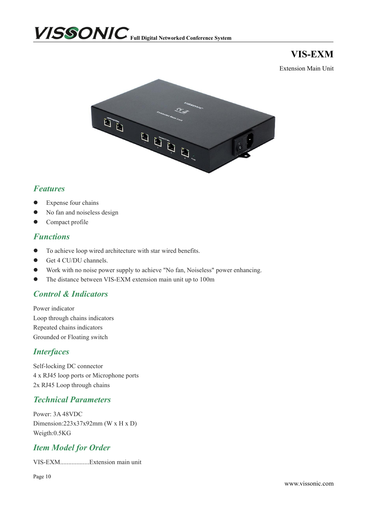

**VIS-EXM**

Extension Main Unit



## *Features*

- Expense four chains
- No fan and noiseless design
- **•** Compact profile

#### *Functions*

- To achieve loop wired architecture with star wired benefits.
- Get 4 CU/DU channels.
- Work with no noise power supply to achieve "No fan,Noiseless" power enhancing.
- The distance between VIS-EXM extension main unit up to 100m

## *Control & Indicators*

Power indicator Loop through chains indicators Repeated chains indicators Grounded or Floating switch

#### *Interfaces*

Self-locking DC connector 4 x RJ45 loop ports or Microphone ports 2x RJ45 Loop through chains

## *Technical Parameters*

Power: 3A 48VDC Dimension:223x37x92mm (W x H x D) Weigth:0.5KG

## *Item Model for Order*

VIS-EXM..................Extension main unit

Page 10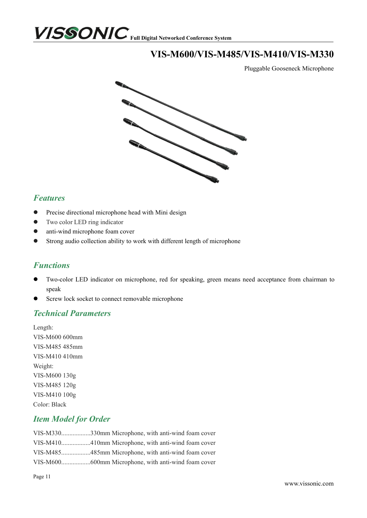

## **VIS-M600/VIS-M485/VIS-M410/VIS-M330**

Pluggable Gooseneck Microphone



### *Features*

- **•** Precise directional microphone head with Mini design
- **•** Two color LED ring indicator
- anti-wind microphone foam cover
- Strong audio collection ability to work with different length of microphone

## *Functions*

- Two-color LED indicator on microphone, red for speaking, green means need acceptance from chairman to speak
- Screw lock socket to connect removable microphone

#### *Technical Parameters*

Length: VIS-M600 600mm VIS-M485 485mm VIS-M410 410mm Weight: VIS-M600 130g VIS-M485 120g VIS-M410 100g Color: Black

#### *Item Model for Order*

VIS-M330..................330mm Microphone, with anti-wind foam cover VIS-M410..................410mm Microphone, with anti-wind foam cover VIS-M485..................485mm Microphone, with anti-wind foam cover VIS-M600..................600mm Microphone, with anti-wind foam cover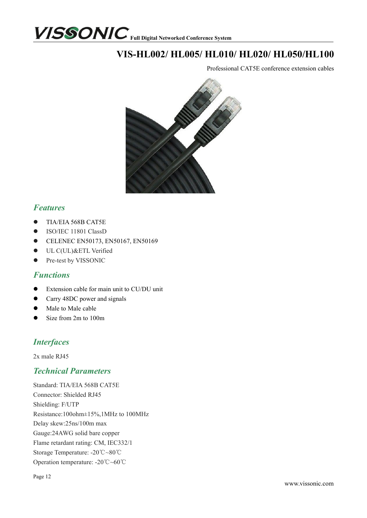

## **VIS-HL002/ HL005/ HL010/ HL020/ HL050/HL100**

Professional CAT5E conference extension cables



## *Features*

- $\bullet$  TIA/EIA 568B CAT5E
- ISO/IEC 11801 ClassD
- **•** CELENEC EN50173, EN50167, EN50169
- **ULC(UL)&ETL Verified**
- Pre-test by VISSONIC

#### *Functions*

- Extension cable for main unit to CU/DU unit
- Carry 48DC power and signals
- Male to Male cable
- Size from 2m to 100m

## *Interfaces*

2x male RJ45

## *Technical Parameters*

Standard: TIA/EIA 568B CAT5E Connector: Shielded RJ45 Shielding: F/UTP Resistance:100ohm±15%,1MHz to 100MHz Delay skew:25ns/100m max Gauge:24AWG solid bare copper Flame retardant rating: CM, IEC332/1 Storage Temperature: -20℃~80℃ Operation temperature: -20℃~60℃